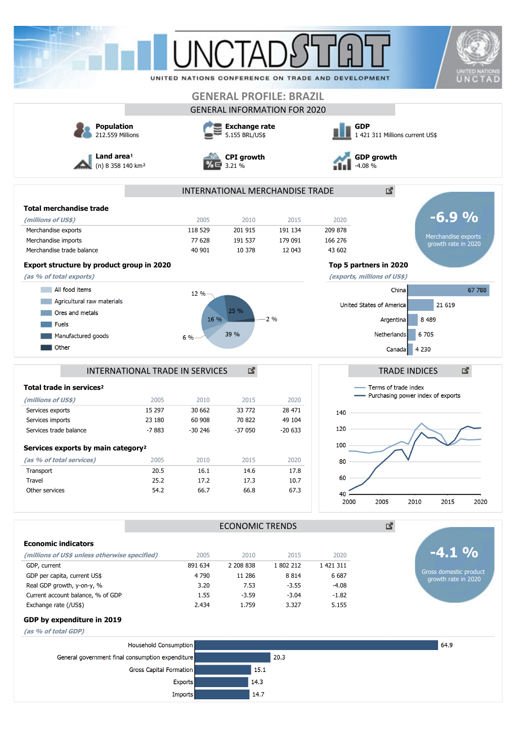|                                                                                                                                                                                                                                                                                  |                         |                                                                       |                        |                                     |                                                                                | <b>UNITED NATIONS</b>                             |  |
|----------------------------------------------------------------------------------------------------------------------------------------------------------------------------------------------------------------------------------------------------------------------------------|-------------------------|-----------------------------------------------------------------------|------------------------|-------------------------------------|--------------------------------------------------------------------------------|---------------------------------------------------|--|
|                                                                                                                                                                                                                                                                                  |                         |                                                                       |                        |                                     | UNITED NATIONS CONFERENCE ON TRADE AND DEVELOPMENT                             | UNCTAD                                            |  |
|                                                                                                                                                                                                                                                                                  |                         |                                                                       |                        | <b>GENERAL PROFILE: BRAZIL</b>      |                                                                                |                                                   |  |
|                                                                                                                                                                                                                                                                                  |                         |                                                                       |                        | <b>GENERAL INFORMATION FOR 2020</b> |                                                                                |                                                   |  |
| <b>Population</b><br>212.559 Millions<br>Land area!<br>(n) 8 358 140 km <sup>2</sup>                                                                                                                                                                                             |                         | <b>Exchange rate</b><br>5.155 BRL/US\$<br><b>CPI</b> growth<br>3.21 % |                        |                                     | <b>GDP</b><br>1 421 311 Millions current US\$<br><b>GDP</b> growth<br>$-4.08%$ |                                                   |  |
|                                                                                                                                                                                                                                                                                  |                         |                                                                       |                        |                                     |                                                                                |                                                   |  |
| <b>Total merchandise trade</b>                                                                                                                                                                                                                                                   |                         |                                                                       |                        |                                     |                                                                                |                                                   |  |
| (millions of US\$)                                                                                                                                                                                                                                                               |                         | 2005                                                                  | 2010                   | 2015                                | 2020                                                                           | $-6.9%$                                           |  |
| Merchandise exports                                                                                                                                                                                                                                                              |                         | 118 529                                                               | 201 915                | 191 134                             | 209 878                                                                        | Merchandise exports                               |  |
| Merchandise imports                                                                                                                                                                                                                                                              |                         | 77 628                                                                | 191 537                | 179 091                             | 166 276                                                                        | growth rate in 2020                               |  |
| Merchandise trade balance                                                                                                                                                                                                                                                        |                         | 40 901                                                                | 10 378                 | 12 043                              | 43 602                                                                         |                                                   |  |
| Export structure by product group in 2020                                                                                                                                                                                                                                        |                         |                                                                       |                        |                                     |                                                                                | Top 5 partners in 2020                            |  |
| (as % of total exports)                                                                                                                                                                                                                                                          |                         |                                                                       |                        |                                     |                                                                                | (exports, millions of US\$)                       |  |
| All food items                                                                                                                                                                                                                                                                   |                         | 12%                                                                   |                        |                                     |                                                                                | 67 788<br>China                                   |  |
| Agricultural raw materials                                                                                                                                                                                                                                                       |                         |                                                                       |                        |                                     |                                                                                | United States of America<br>21 6 19               |  |
| Ores and metals                                                                                                                                                                                                                                                                  |                         | 16 %                                                                  | 25 %                   | 2%                                  |                                                                                | 8 4 8 9<br>Argentina                              |  |
| <b>Fuels</b>                                                                                                                                                                                                                                                                     |                         |                                                                       |                        |                                     |                                                                                |                                                   |  |
| Manufactured goods                                                                                                                                                                                                                                                               |                         | 6%                                                                    | 39 %                   |                                     |                                                                                | 6 705<br>Netherlands                              |  |
| INTERNATIONAL TRADE IN SERVICES<br>Total trade in services <sup>2</sup>                                                                                                                                                                                                          |                         |                                                                       | 國                      |                                     |                                                                                | 國<br><b>TRADE INDICES</b><br>Terms of trade index |  |
| (millions of US\$)                                                                                                                                                                                                                                                               | 2005                    | 2010                                                                  | 2015                   | 2020                                |                                                                                | - Purchasing power index of exports               |  |
| Services exports                                                                                                                                                                                                                                                                 | 15 297                  | 30 662                                                                | 33 772                 | 28 471                              | 140                                                                            |                                                   |  |
| Services imports                                                                                                                                                                                                                                                                 | 23 180                  | 60 908                                                                | 70 822                 | 49 104                              |                                                                                |                                                   |  |
| Services trade balance                                                                                                                                                                                                                                                           | $-7883$                 | $-30246$                                                              | $-37050$               | $-20633$                            | 120                                                                            |                                                   |  |
|                                                                                                                                                                                                                                                                                  |                         |                                                                       |                        |                                     |                                                                                |                                                   |  |
|                                                                                                                                                                                                                                                                                  |                         |                                                                       |                        |                                     | 100                                                                            |                                                   |  |
|                                                                                                                                                                                                                                                                                  |                         |                                                                       |                        |                                     |                                                                                |                                                   |  |
|                                                                                                                                                                                                                                                                                  | 2005<br>20.5            | 2010<br>16.1                                                          | 2015<br>14.6           | 2020<br>17.8                        | 80                                                                             |                                                   |  |
|                                                                                                                                                                                                                                                                                  | 25.2                    | 17.2                                                                  | 17.3                   | 10.7                                | 60                                                                             |                                                   |  |
|                                                                                                                                                                                                                                                                                  | 54.2                    | 66.7                                                                  | 66.8                   | 67.3                                | 40<br>2000                                                                     | 2005<br>2010<br>2015<br>2020                      |  |
|                                                                                                                                                                                                                                                                                  |                         |                                                                       | <b>ECONOMIC TRENDS</b> |                                     |                                                                                | ₫.                                                |  |
|                                                                                                                                                                                                                                                                                  |                         |                                                                       |                        |                                     |                                                                                |                                                   |  |
|                                                                                                                                                                                                                                                                                  |                         | 2005                                                                  | 2010                   | 2015                                | 2020                                                                           | $-4.1\%$                                          |  |
|                                                                                                                                                                                                                                                                                  |                         | 891 634                                                               | 2 208 838              | 1 802 212                           | 1 421 311                                                                      |                                                   |  |
|                                                                                                                                                                                                                                                                                  |                         | 4 7 9 0                                                               | 11 286                 | 8814                                | 6 6 8 7                                                                        | Gross domestic product<br>growth rate in 2020     |  |
| Services exports by main category <sup>2</sup><br>(as % of total services)<br>Transport<br>Travel<br>Other services<br><b>Economic indicators</b><br>(millions of US\$ unless otherwise specified)<br>GDP, current<br>GDP per capita, current US\$<br>Real GDP growth, y-on-y, % |                         | 3.20                                                                  | 7.53                   | $-3.55$                             | $-4.08$                                                                        |                                                   |  |
|                                                                                                                                                                                                                                                                                  |                         | 1.55                                                                  | $-3.59$                | $-3.04$                             | $-1.82$                                                                        |                                                   |  |
|                                                                                                                                                                                                                                                                                  |                         | 2.434                                                                 | 1.759                  | 3.327                               | 5.155                                                                          |                                                   |  |
|                                                                                                                                                                                                                                                                                  |                         |                                                                       |                        |                                     |                                                                                |                                                   |  |
|                                                                                                                                                                                                                                                                                  |                         |                                                                       |                        |                                     |                                                                                |                                                   |  |
|                                                                                                                                                                                                                                                                                  | Household Consumption   |                                                                       |                        |                                     |                                                                                | 64.9                                              |  |
| Current account balance, % of GDP<br>Exchange rate (/US\$)<br>GDP by expenditure in 2019<br>(as % of total GDP)<br>General government final consumption expenditure                                                                                                              | Gross Capital Formation |                                                                       | 15.1                   | 20.3                                |                                                                                |                                                   |  |

 $14.7$ 

Imports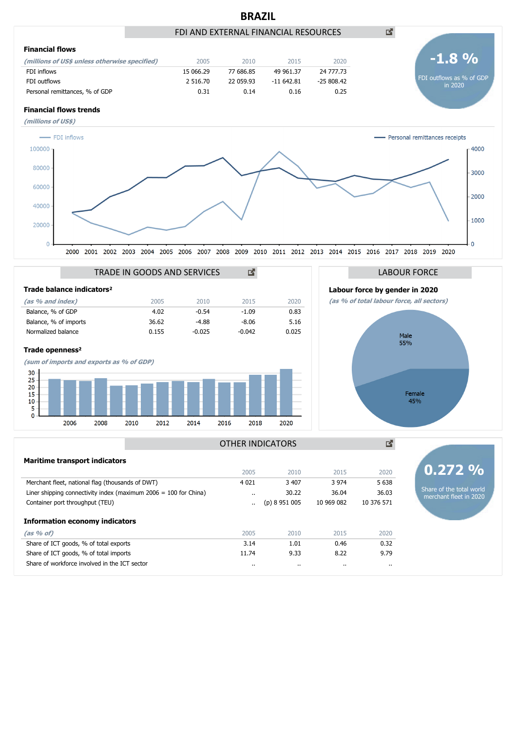

**(as % of)** 2005 2010 2015 2020 **Information economy indicators**

Share of ICT goods, % of total exports 6.32 contract 1.01 0.46 0.32 Share of ICT goods, % of total imports 11.74 9.33 8.22 9.79 Share of workforce involved in the ICT sector .. .. .. ..